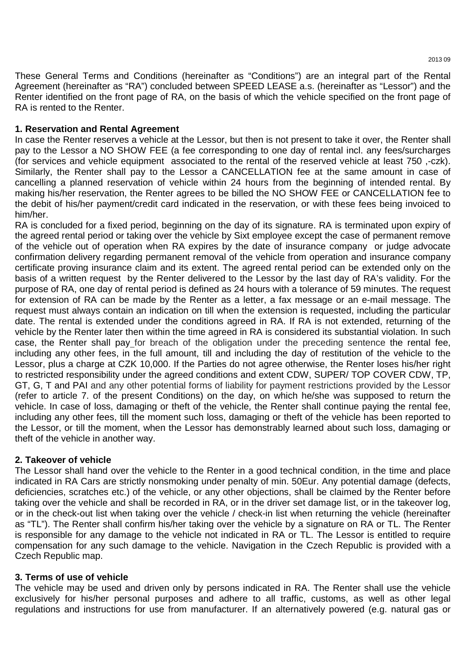These General Terms and Conditions (hereinafter as "Conditions") are an integral part of the Rental Agreement (hereinafter as "RA") concluded between SPEED LEASE a.s. (hereinafter as "Lessor") and the Renter identified on the front page of RA, on the basis of which the vehicle specified on the front page of RA is rented to the Renter.

# **1. Reservation and Rental Agreement**

In case the Renter reserves a vehicle at the Lessor, but then is not present to take it over, the Renter shall pay to the Lessor a NO SHOW FEE (a fee corresponding to one day of rental incl. any fees/surcharges (for services and vehicle equipment associated to the rental of the reserved vehicle at least 750 ,-czk). Similarly, the Renter shall pay to the Lessor a CANCELLATION fee at the same amount in case of cancelling a planned reservation of vehicle within 24 hours from the beginning of intended rental. By making his/her reservation, the Renter agrees to be billed the NO SHOW FEE or CANCELLATION fee to the debit of his/her payment/credit card indicated in the reservation, or with these fees being invoiced to him/her.

RA is concluded for a fixed period, beginning on the day of its signature. RA is terminated upon expiry of the agreed rental period or taking over the vehicle by Sixt employee except the case of permanent remove of the vehicle out of operation when RA expires by the date of insurance company or judge advocate confirmation delivery regarding permanent removal of the vehicle from operation and insurance company certificate proving insurance claim and its extent. The agreed rental period can be extended only on the basis of a written request by the Renter delivered to the Lessor by the last day of RA's validity. For the purpose of RA, one day of rental period is defined as 24 hours with a tolerance of 59 minutes. The request for extension of RA can be made by the Renter as a letter, a fax message or an e-mail message. The request must always contain an indication on till when the extension is requested, including the particular date. The rental is extended under the conditions agreed in RA. If RA is not extended, returning of the vehicle by the Renter later then within the time agreed in RA is considered its substantial violation. In such case, the Renter shall pay for breach of the obligation under the preceding sentence the rental fee, including any other fees, in the full amount, till and including the day of restitution of the vehicle to the Lessor, plus a charge at CZK 10,000. If the Parties do not agree otherwise, the Renter loses his/her right to restricted responsibility under the agreed conditions and extent CDW, SUPER/ TOP COVER CDW, TP, GT, G, T and PAI and any other potential forms of liability for payment restrictions provided by the Lessor (refer to article 7. of the present Conditions) on the day, on which he/she was supposed to return the vehicle. In case of loss, damaging or theft of the vehicle, the Renter shall continue paying the rental fee, including any other fees, till the moment such loss, damaging or theft of the vehicle has been reported to the Lessor, or till the moment, when the Lessor has demonstrably learned about such loss, damaging or theft of the vehicle in another way.

## **2. Takeover of vehicle**

The Lessor shall hand over the vehicle to the Renter in a good technical condition, in the time and place indicated in RA Cars are strictly nonsmoking under penalty of min. 50Eur. Any potential damage (defects, deficiencies, scratches etc.) of the vehicle, or any other objections, shall be claimed by the Renter before taking over the vehicle and shall be recorded in RA, or in the driver set damage list, or in the takeover log, or in the check-out list when taking over the vehicle / check-in list when returning the vehicle (hereinafter as "TL"). The Renter shall confirm his/her taking over the vehicle by a signature on RA or TL. The Renter is responsible for any damage to the vehicle not indicated in RA or TL. The Lessor is entitled to require compensation for any such damage to the vehicle. Navigation in the Czech Republic is provided with a Czech Republic map.

## **3. Terms of use of vehicle**

The vehicle may be used and driven only by persons indicated in RA. The Renter shall use the vehicle exclusively for his/her personal purposes and adhere to all traffic, customs, as well as other legal regulations and instructions for use from manufacturer. If an alternatively powered (e.g. natural gas or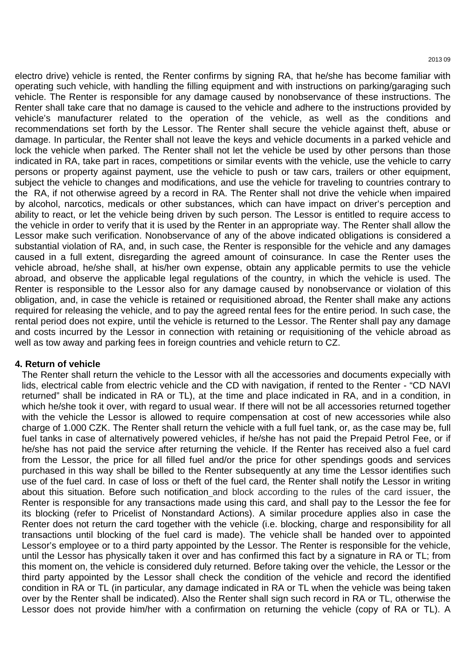electro drive) vehicle is rented, the Renter confirms by signing RA, that he/she has become familiar with operating such vehicle, with handling the filling equipment and with instructions on parking/garaging such vehicle. The Renter is responsible for any damage caused by nonobservance of these instructions. The Renter shall take care that no damage is caused to the vehicle and adhere to the instructions provided by vehicle's manufacturer related to the operation of the vehicle, as well as the conditions and recommendations set forth by the Lessor. The Renter shall secure the vehicle against theft, abuse or damage. In particular, the Renter shall not leave the keys and vehicle documents in a parked vehicle and lock the vehicle when parked. The Renter shall not let the vehicle be used by other persons than those indicated in RA, take part in races, competitions or similar events with the vehicle, use the vehicle to carry persons or property against payment, use the vehicle to push or taw cars, trailers or other equipment, subject the vehicle to changes and modifications, and use the vehicle for traveling to countries contrary to the RA, if not otherwise agreed by a record in RA. The Renter shall not drive the vehicle when impaired by alcohol, narcotics, medicals or other substances, which can have impact on driver's perception and ability to react, or let the vehicle being driven by such person. The Lessor is entitled to require access to the vehicle in order to verify that it is used by the Renter in an appropriate way. The Renter shall allow the Lessor make such verification. Nonobservance of any of the above indicated obligations is considered a substantial violation of RA, and, in such case, the Renter is responsible for the vehicle and any damages caused in a full extent, disregarding the agreed amount of coinsurance. In case the Renter uses the vehicle abroad, he/she shall, at his/her own expense, obtain any applicable permits to use the vehicle abroad, and observe the applicable legal regulations of the country, in which the vehicle is used. The Renter is responsible to the Lessor also for any damage caused by nonobservance or violation of this obligation, and, in case the vehicle is retained or requisitioned abroad, the Renter shall make any actions required for releasing the vehicle, and to pay the agreed rental fees for the entire period. In such case, the rental period does not expire, until the vehicle is returned to the Lessor. The Renter shall pay any damage and costs incurred by the Lessor in connection with retaining or requisitioning of the vehicle abroad as well as tow away and parking fees in foreign countries and vehicle return to CZ.

### **4. Return of vehicle**

The Renter shall return the vehicle to the Lessor with all the accessories and documents expecially with lids, electrical cable from electric vehicle and the CD with navigation, if rented to the Renter - "CD NAVI returned" shall be indicated in RA or TL), at the time and place indicated in RA, and in a condition, in which he/she took it over, with regard to usual wear. If there will not be all accessories returned together with the vehicle the Lessor is allowed to require compensation at cost of new accessories while also charge of 1.000 CZK. The Renter shall return the vehicle with a full fuel tank, or, as the case may be, full fuel tanks in case of alternatively powered vehicles, if he/she has not paid the Prepaid Petrol Fee, or if he/she has not paid the service after returning the vehicle. If the Renter has received also a fuel card from the Lessor, the price for all filled fuel and/or the price for other spendings goods and services purchased in this way shall be billed to the Renter subsequently at any time the Lessor identifies such use of the fuel card. In case of loss or theft of the fuel card, the Renter shall notify the Lessor in writing about this situation. Before such notification and block according to the rules of the card issuer, the Renter is responsible for any transactions made using this card, and shall pay to the Lessor the fee for its blocking (refer to Pricelist of Nonstandard Actions). A similar procedure applies also in case the Renter does not return the card together with the vehicle (i.e. blocking, charge and responsibility for all transactions until blocking of the fuel card is made). The vehicle shall be handed over to appointed Lessor's employee or to a third party appointed by the Lessor. The Renter is responsible for the vehicle, until the Lessor has physically taken it over and has confirmed this fact by a signature in RA or TL; from this moment on, the vehicle is considered duly returned. Before taking over the vehicle, the Lessor or the third party appointed by the Lessor shall check the condition of the vehicle and record the identified condition in RA or TL (in particular, any damage indicated in RA or TL when the vehicle was being taken over by the Renter shall be indicated). Also the Renter shall sign such record in RA or TL, otherwise the Lessor does not provide him/her with a confirmation on returning the vehicle (copy of RA or TL). A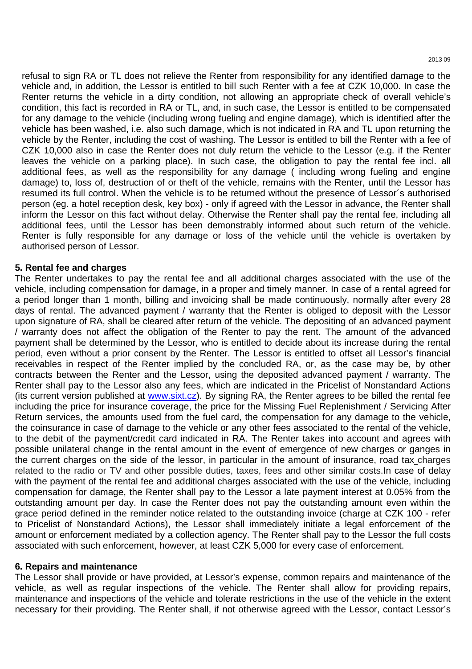refusal to sign RA or TL does not relieve the Renter from responsibility for any identified damage to the vehicle and, in addition, the Lessor is entitled to bill such Renter with a fee at CZK 10,000. In case the Renter returns the vehicle in a dirty condition, not allowing an appropriate check of overall vehicle's condition, this fact is recorded in RA or TL, and, in such case, the Lessor is entitled to be compensated for any damage to the vehicle (including wrong fueling and engine damage), which is identified after the vehicle has been washed, i.e. also such damage, which is not indicated in RA and TL upon returning the vehicle by the Renter, including the cost of washing. The Lessor is entitled to bill the Renter with a fee of CZK 10,000 also in case the Renter does not duly return the vehicle to the Lessor (e.g. if the Renter leaves the vehicle on a parking place). In such case, the obligation to pay the rental fee incl. all additional fees, as well as the responsibility for any damage ( including wrong fueling and engine damage) to, loss of, destruction of or theft of the vehicle, remains with the Renter, until the Lessor has resumed its full control. When the vehicle is to be returned without the presence of Lessor´s authorised person (eg. a hotel reception desk, key box) - only if agreed with the Lessor in advance, the Renter shall inform the Lessor on this fact without delay. Otherwise the Renter shall pay the rental fee, including all additional fees, until the Lessor has been demonstrably informed about such return of the vehicle. Renter is fully responsible for any damage or loss of the vehicle until the vehicle is overtaken by authorised person of Lessor.

### **5. Rental fee and charges**

The Renter undertakes to pay the rental fee and all additional charges associated with the use of the vehicle, including compensation for damage, in a proper and timely manner. In case of a rental agreed for a period longer than 1 month, billing and invoicing shall be made continuously, normally after every 28 days of rental. The advanced payment / warranty that the Renter is obliged to deposit with the Lessor upon signature of RA, shall be cleared after return of the vehicle. The depositing of an advanced payment / warranty does not affect the obligation of the Renter to pay the rent. The amount of the advanced payment shall be determined by the Lessor, who is entitled to decide about its increase during the rental period, even without a prior consent by the Renter. The Lessor is entitled to offset all Lessor's financial receivables in respect of the Renter implied by the concluded RA, or, as the case may be, by other contracts between the Renter and the Lessor, using the deposited advanced payment / warranty. The Renter shall pay to the Lessor also any fees, which are indicated in the Pricelist of Nonstandard Actions (its current version published at www.sixt.cz). By signing RA, the Renter agrees to be billed the rental fee including the price for insurance coverage, the price for the Missing Fuel Replenishment / Servicing After Return services, the amounts used from the fuel card, the compensation for any damage to the vehicle, the coinsurance in case of damage to the vehicle or any other fees associated to the rental of the vehicle, to the debit of the payment/credit card indicated in RA. The Renter takes into account and agrees with possible unilateral change in the rental amount in the event of emergence of new charges or ganges in the current charges on the side of the lessor, in particular in the amount of insurance, road tax charges related to the radio or TV and other possible duties, taxes, fees and other similar costs.In case of delay with the payment of the rental fee and additional charges associated with the use of the vehicle, including compensation for damage, the Renter shall pay to the Lessor a late payment interest at 0.05% from the outstanding amount per day. In case the Renter does not pay the outstanding amount even within the grace period defined in the reminder notice related to the outstanding invoice (charge at CZK 100 - refer to Pricelist of Nonstandard Actions), the Lessor shall immediately initiate a legal enforcement of the amount or enforcement mediated by a collection agency. The Renter shall pay to the Lessor the full costs associated with such enforcement, however, at least CZK 5,000 for every case of enforcement.

### **6. Repairs and maintenance**

The Lessor shall provide or have provided, at Lessor's expense, common repairs and maintenance of the vehicle, as well as regular inspections of the vehicle. The Renter shall allow for providing repairs, maintenance and inspections of the vehicle and tolerate restrictions in the use of the vehicle in the extent necessary for their providing. The Renter shall, if not otherwise agreed with the Lessor, contact Lessor's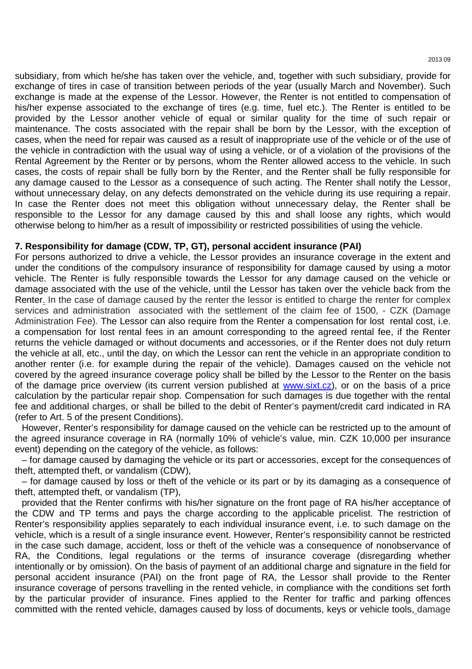2013 09

subsidiary, from which he/she has taken over the vehicle, and, together with such subsidiary, provide for exchange of tires in case of transition between periods of the year (usually March and November). Such exchange is made at the expense of the Lessor. However, the Renter is not entitled to compensation of his/her expense associated to the exchange of tires (e.g. time, fuel etc.). The Renter is entitled to be provided by the Lessor another vehicle of equal or similar quality for the time of such repair or maintenance. The costs associated with the repair shall be born by the Lessor, with the exception of cases, when the need for repair was caused as a result of inappropriate use of the vehicle or of the use of the vehicle in contradiction with the usual way of using a vehicle, or of a violation of the provisions of the Rental Agreement by the Renter or by persons, whom the Renter allowed access to the vehicle. In such cases, the costs of repair shall be fully born by the Renter, and the Renter shall be fully responsible for any damage caused to the Lessor as a consequence of such acting. The Renter shall notify the Lessor, without unnecessary delay, on any defects demonstrated on the vehicle during its use requiring a repair. In case the Renter does not meet this obligation without unnecessary delay, the Renter shall be responsible to the Lessor for any damage caused by this and shall loose any rights, which would otherwise belong to him/her as a result of impossibility or restricted possibilities of using the vehicle.

### **7. Responsibility for damage (CDW, TP, GT), personal accident insurance (PAI)**

For persons authorized to drive a vehicle, the Lessor provides an insurance coverage in the extent and under the conditions of the compulsory insurance of responsibility for damage caused by using a motor vehicle. The Renter is fully responsible towards the Lessor for any damage caused on the vehicle or damage associated with the use of the vehicle, until the Lessor has taken over the vehicle back from the Renter. In the case of damage caused by the renter the lessor is entitled to charge the renter for complex services and administration associated with the settlement of the claim fee of 1500, - CZK (Damage Administration Fee). The Lessor can also require from the Renter a compensation for lost rental cost, i.e. a compensation for lost rental fees in an amount corresponding to the agreed rental fee, if the Renter returns the vehicle damaged or without documents and accessories, or if the Renter does not duly return the vehicle at all, etc., until the day, on which the Lessor can rent the vehicle in an appropriate condition to another renter (i.e. for example during the repair of the vehicle). Damages caused on the vehicle not covered by the agreed insurance coverage policy shall be billed by the Lessor to the Renter on the basis of the damage price overview (its current version published at www.sixt.cz), or on the basis of a price calculation by the particular repair shop. Compensation for such damages is due together with the rental fee and additional charges, or shall be billed to the debit of Renter's payment/credit card indicated in RA (refer to Art. 5 of the present Conditions).

However, Renter's responsibility for damage caused on the vehicle can be restricted up to the amount of the agreed insurance coverage in RA (normally 10% of vehicle's value, min. CZK 10,000 per insurance event) depending on the category of the vehicle, as follows:

– for damage caused by damaging the vehicle or its part or accessories, except for the consequences of theft, attempted theft, or vandalism (CDW),

– for damage caused by loss or theft of the vehicle or its part or by its damaging as a consequence of theft, attempted theft, or vandalism (TP),

provided that the Renter confirms with his/her signature on the front page of RA his/her acceptance of the CDW and TP terms and pays the charge according to the applicable pricelist. The restriction of Renter's responsibility applies separately to each individual insurance event, i.e. to such damage on the vehicle, which is a result of a single insurance event. However, Renter's responsibility cannot be restricted in the case such damage, accident, loss or theft of the vehicle was a consequence of nonobservance of RA, the Conditions, legal regulations or the terms of insurance coverage (disregarding whether intentionally or by omission). On the basis of payment of an additional charge and signature in the field for personal accident insurance (PAI) on the front page of RA, the Lessor shall provide to the Renter insurance coverage of persons travelling in the rented vehicle, in compliance with the conditions set forth by the particular provider of insurance. Fines applied to the Renter for traffic and parking offences committed with the rented vehicle, damages caused by loss of documents, keys or vehicle tools, damage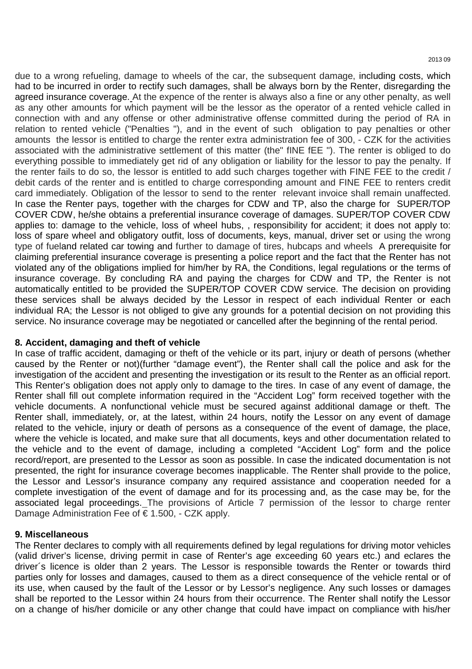due to a wrong refueling, damage to wheels of the car, the subsequent damage, including costs, which had to be incurred in order to rectify such damages, shall be always born by the Renter, disregarding the agreed insurance coverage. At the expence of the renter is always also a fine or any other penalty, as well as any other amounts for which payment will be the lessor as the operator of a rented vehicle called in connection with and any offense or other administrative offense committed during the period of RA in relation to rented vehicle ("Penalties "), and in the event of such obligation to pay penalties or other amounts the lessor is entitled to charge the renter extra administration fee of 300, - CZK for the activities associated with the administrative settlement of this matter (the" fINE fEE "). The renter is obliged to do everything possible to immediately get rid of any obligation or liability for the lessor to pay the penalty. If the renter fails to do so, the lessor is entitled to add such charges together with FINE FEE to the credit / debit cards of the renter and is entitled to charge corresponding amount and FINE FEE to renters credit card immediately. Obligation of the lessor to send to the renter relevant invoice shall remain unaffected. In case the Renter pays, together with the charges for CDW and TP, also the charge for SUPER/TOP COVER CDW, he/she obtains a preferential insurance coverage of damages. SUPER/TOP COVER CDW applies to: damage to the vehicle, loss of wheel hubs, , responsibility for accident; it does not apply to: loss of spare wheel and obligatory outfit, loss of documents, keys, manual, driver set or using the wrong type of fueland related car towing and further to damage of tires, hubcaps and wheels A prerequisite for claiming preferential insurance coverage is presenting a police report and the fact that the Renter has not violated any of the obligations implied for him/her by RA, the Conditions, legal regulations or the terms of insurance coverage. By concluding RA and paying the charges for CDW and TP, the Renter is not automatically entitled to be provided the SUPER/TOP COVER CDW service. The decision on providing these services shall be always decided by the Lessor in respect of each individual Renter or each individual RA; the Lessor is not obliged to give any grounds for a potential decision on not providing this service. No insurance coverage may be negotiated or cancelled after the beginning of the rental period.

## **8. Accident, damaging and theft of vehicle**

In case of traffic accident, damaging or theft of the vehicle or its part, injury or death of persons (whether caused by the Renter or not)(further "damage event"), the Renter shall call the police and ask for the investigation of the accident and presenting the investigation or its result to the Renter as an official report. This Renter's obligation does not apply only to damage to the tires. In case of any event of damage, the Renter shall fill out complete information required in the "Accident Log" form received together with the vehicle documents. A nonfunctional vehicle must be secured against additional damage or theft. The Renter shall, immediately, or, at the latest, within 24 hours, notify the Lessor on any event of damage related to the vehicle, injury or death of persons as a consequence of the event of damage, the place, where the vehicle is located, and make sure that all documents, keys and other documentation related to the vehicle and to the event of damage, including a completed "Accident Log" form and the police record/report, are presented to the Lessor as soon as possible. In case the indicated documentation is not presented, the right for insurance coverage becomes inapplicable. The Renter shall provide to the police, the Lessor and Lessor's insurance company any required assistance and cooperation needed for a complete investigation of the event of damage and for its processing and, as the case may be, for the associated legal proceedings. The provisions of Article 7 permission of the lessor to charge renter Damage Administration Fee of  $\epsilon$  1.500, - CZK apply.

### **9. Miscellaneous**

The Renter declares to comply with all requirements defined by legal regulations for driving motor vehicles (valid driver's license, driving permit in case of Renter's age exceeding 60 years etc.) and eclares the driver´s licence is older than 2 years. The Lessor is responsible towards the Renter or towards third parties only for losses and damages, caused to them as a direct consequence of the vehicle rental or of its use, when caused by the fault of the Lessor or by Lessor's negligence. Any such losses or damages shall be reported to the Lessor within 24 hours from their occurrence. The Renter shall notify the Lessor on a change of his/her domicile or any other change that could have impact on compliance with his/her